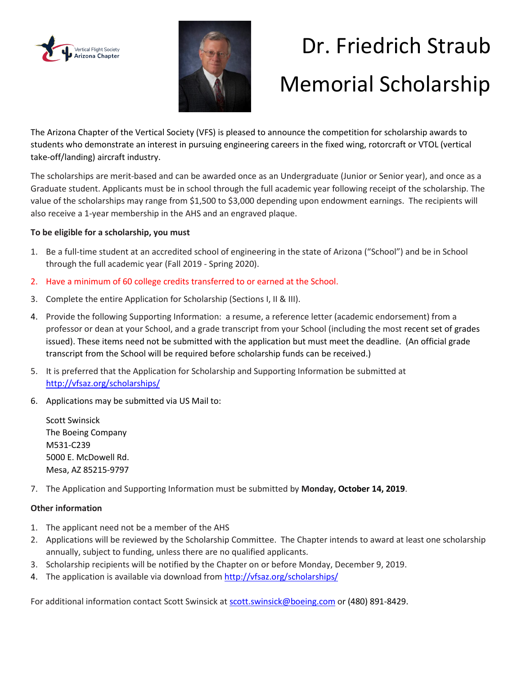



# Dr. Friedrich Straub Memorial Scholarship

The Arizona Chapter of the Vertical Society (VFS) is pleased to announce the competition for scholarship awards to students who demonstrate an interest in pursuing engineering careers in the fixed wing, rotorcraft or VTOL (vertical take-off/landing) aircraft industry.

The scholarships are merit-based and can be awarded once as an Undergraduate (Junior or Senior year), and once as a Graduate student. Applicants must be in school through the full academic year following receipt of the scholarship. The value of the scholarships may range from \$1,500 to \$3,000 depending upon endowment earnings. The recipients will also receive a 1-year membership in the AHS and an engraved plaque.

#### **To be eligible for a scholarship, you must**

- 1. Be a full-time student at an accredited school of engineering in the state of Arizona ("School") and be in School through the full academic year (Fall 2019 - Spring 2020).
- 2. Have a minimum of 60 college credits transferred to or earned at the School.
- 3. Complete the entire Application for Scholarship (Sections I, II & III).
- 4. Provide the following Supporting Information: a resume, a reference letter (academic endorsement) from a professor or dean at your School, and a grade transcript from your School (including the most recent set of grades issued). These items need not be submitted with the application but must meet the deadline. (An official grade transcript from the School will be required before scholarship funds can be received.)
- 5. It is preferred that the Application for Scholarship and Supporting Information be submitted at <http://vfsaz.org/scholarships/>
- 6. Applications may be submitted via US Mail to:

Scott Swinsick The Boeing Company M531-C239 5000 E. McDowell Rd. Mesa, AZ 85215-9797

7. The Application and Supporting Information must be submitted by **Monday, October 14, 2019**.

#### **Other information**

- 1. The applicant need not be a member of the AHS
- 2. Applications will be reviewed by the Scholarship Committee. The Chapter intends to award at least one scholarship annually, subject to funding, unless there are no qualified applicants.
- 3. Scholarship recipients will be notified by the Chapter on or before Monday, December 9, 2019.
- 4. The application is available via download from<http://vfsaz.org/scholarships/>

For additional information contact Scott Swinsick at [scott.swinsick@boeing.com o](mailto:scott.swinsick@boeing.com)r (480) 891-8429.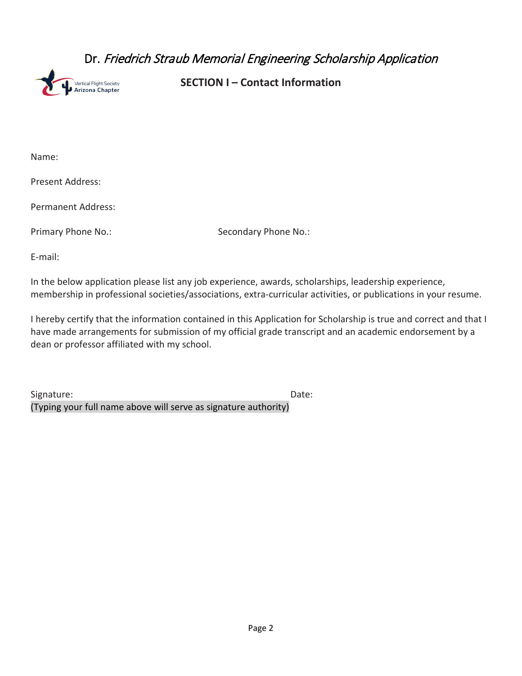### Dr. Friedrich Straub Memorial Engineering Scholarship Application



**SECTION I – Contact Information**

Name:

Present Address:

Permanent Address:

Primary Phone No.: Secondary Phone No.:

E-mail:

In the below application please list any job experience, awards, scholarships, leadership experience, membership in professional societies/associations, extra-curricular activities, or publications in your resume.

I hereby certify that the information contained in this Application for Scholarship is true and correct and that I have made arrangements for submission of my official grade transcript and an academic endorsement by a dean or professor affiliated with my school.

Signature: Date: (Typing your full name above will serve as signature authority)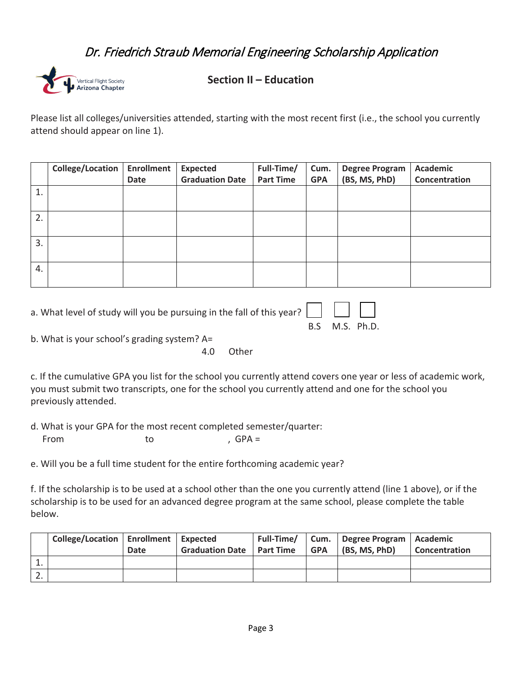## Dr. Friedrich Straub Memorial Engineering Scholarship Application



**Section II – Education**

Please list all colleges/universities attended, starting with the most recent first (i.e., the school you currently attend should appear on line 1).

|    | College/Location | <b>Enrollment</b> | <b>Expected</b>        | Full-Time/       | Cum.       | <b>Degree Program</b> | <b>Academic</b> |
|----|------------------|-------------------|------------------------|------------------|------------|-----------------------|-----------------|
|    |                  | Date              | <b>Graduation Date</b> | <b>Part Time</b> | <b>GPA</b> | (BS, MS, PhD)         | Concentration   |
| 1. |                  |                   |                        |                  |            |                       |                 |
|    |                  |                   |                        |                  |            |                       |                 |
| 2. |                  |                   |                        |                  |            |                       |                 |
|    |                  |                   |                        |                  |            |                       |                 |
| 3. |                  |                   |                        |                  |            |                       |                 |
|    |                  |                   |                        |                  |            |                       |                 |
| 4. |                  |                   |                        |                  |            |                       |                 |
|    |                  |                   |                        |                  |            |                       |                 |

| a. What level of study will you be pursuing in the fall of this year? $\Box$ |  |                |
|------------------------------------------------------------------------------|--|----------------|
|                                                                              |  | B.S M.S. Ph.D. |

b. What is your school's grading system? A=

4.0 Other

c. If the cumulative GPA you list for the school you currently attend covers one year or less of academic work, you must submit two transcripts, one for the school you currently attend and one for the school you previously attended.

d. What is your GPA for the most recent completed semester/quarter:

From to , GPA =

e. Will you be a full time student for the entire forthcoming academic year?

f. If the scholarship is to be used at a school other than the one you currently attend (line 1 above), or if the scholarship is to be used for an advanced degree program at the same school, please complete the table below.

|          | College/Location   Enrollment   Expected | Date | Graduation Date   Part Time | GPA | Full-Time/   Cum.   Degree Program   Academic<br>(BS, MS, PhD) | <b>Concentration</b> |
|----------|------------------------------------------|------|-----------------------------|-----|----------------------------------------------------------------|----------------------|
| <b>.</b> |                                          |      |                             |     |                                                                |                      |
| <u>.</u> |                                          |      |                             |     |                                                                |                      |